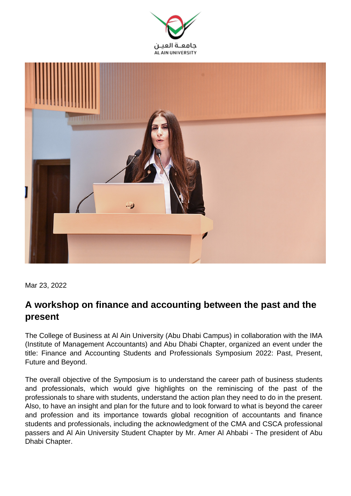



Mar 23, 2022

## **A workshop on finance and accounting between the past and the present**

The College of Business at Al Ain University (Abu Dhabi Campus) in collaboration with the IMA (Institute of Management Accountants) and Abu Dhabi Chapter, organized an event under the title: Finance and Accounting Students and Professionals Symposium 2022: Past, Present, Future and Beyond.

The overall objective of the Symposium is to understand the career path of business students and professionals, which would give highlights on the reminiscing of the past of the professionals to share with students, understand the action plan they need to do in the present. Also, to have an insight and plan for the future and to look forward to what is beyond the career and profession and its importance towards global recognition of accountants and finance students and professionals, including the acknowledgment of the CMA and CSCA professional passers and Al Ain University Student Chapter by Mr. Amer Al Ahbabi - The president of Abu Dhabi Chapter.